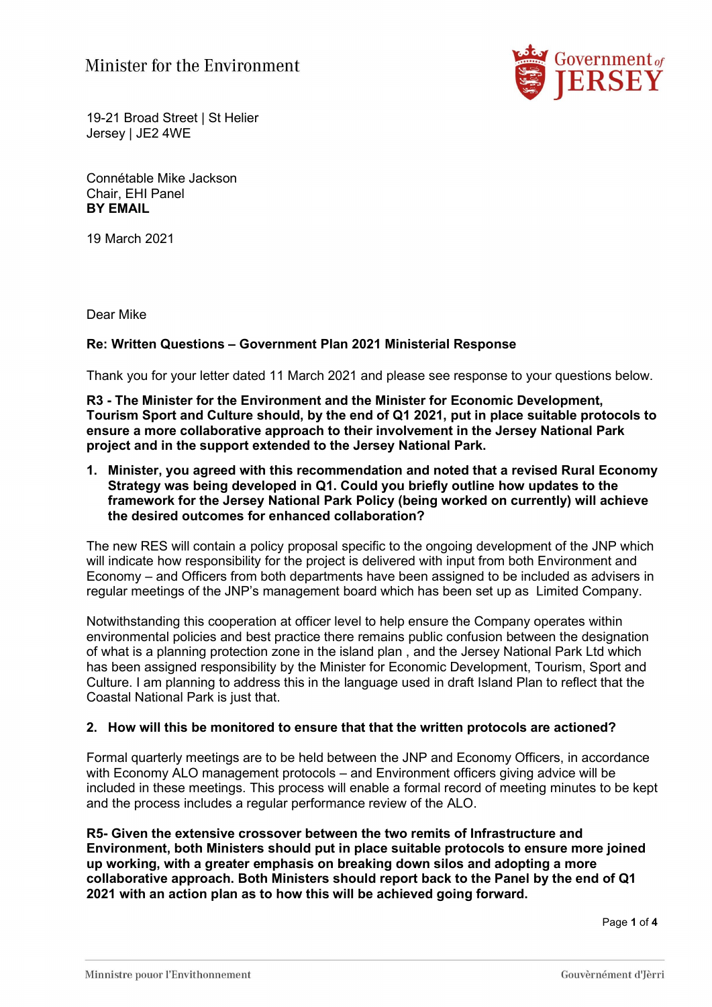

19-21 Broad Street | St Helier Jersey | JE2 4WE

Connétable Mike Jackson Chair, EHI Panel BY EMAIL

19 March 2021

Dear Mike

## Re: Written Questions – Government Plan 2021 Ministerial Response

Thank you for your letter dated 11 March 2021 and please see response to your questions below.

R3 - The Minister for the Environment and the Minister for Economic Development, Tourism Sport and Culture should, by the end of Q1 2021, put in place suitable protocols to ensure a more collaborative approach to their involvement in the Jersey National Park project and in the support extended to the Jersey National Park.

1. Minister, you agreed with this recommendation and noted that a revised Rural Economy Strategy was being developed in Q1. Could you briefly outline how updates to the framework for the Jersey National Park Policy (being worked on currently) will achieve the desired outcomes for enhanced collaboration?

The new RES will contain a policy proposal specific to the ongoing development of the JNP which will indicate how responsibility for the project is delivered with input from both Environment and Economy – and Officers from both departments have been assigned to be included as advisers in regular meetings of the JNP's management board which has been set up as Limited Company.

Notwithstanding this cooperation at officer level to help ensure the Company operates within environmental policies and best practice there remains public confusion between the designation of what is a planning protection zone in the island plan , and the Jersey National Park Ltd which has been assigned responsibility by the Minister for Economic Development, Tourism, Sport and Culture. I am planning to address this in the language used in draft Island Plan to reflect that the Coastal National Park is just that.

## 2. How will this be monitored to ensure that that the written protocols are actioned?

Formal quarterly meetings are to be held between the JNP and Economy Officers, in accordance with Economy ALO management protocols – and Environment officers giving advice will be included in these meetings. This process will enable a formal record of meeting minutes to be kept and the process includes a regular performance review of the ALO.

R5- Given the extensive crossover between the two remits of Infrastructure and Environment, both Ministers should put in place suitable protocols to ensure more joined up working, with a greater emphasis on breaking down silos and adopting a more collaborative approach. Both Ministers should report back to the Panel by the end of Q1 2021 with an action plan as to how this will be achieved going forward.

Page 1 of 4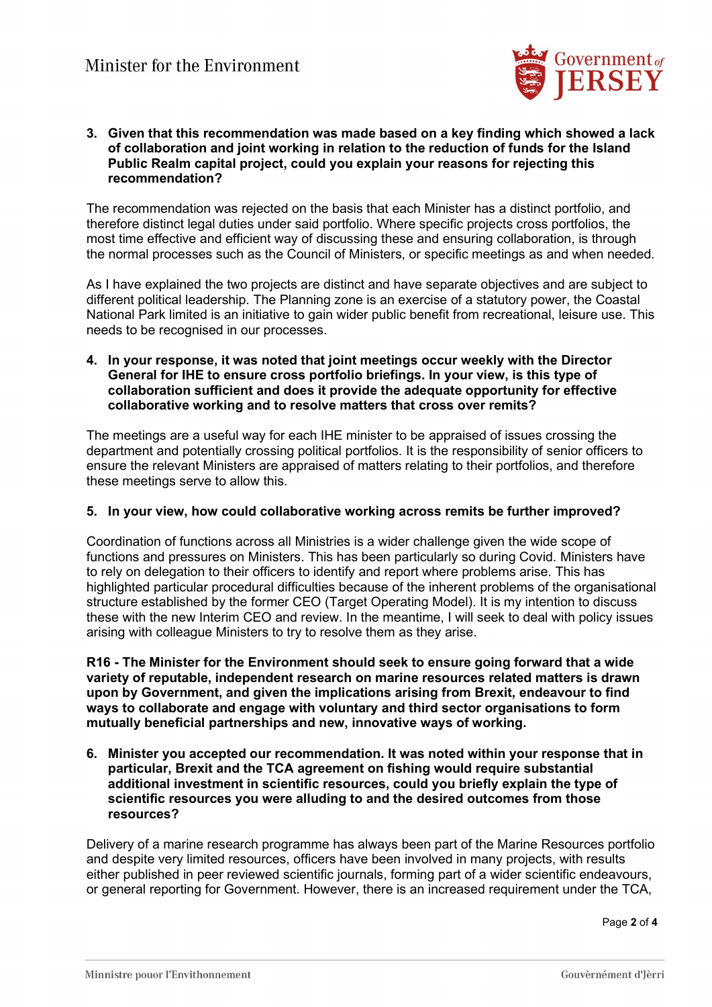

### 3. Given that this recommendation was made based on a key finding which showed a lack of collaboration and joint working in relation to the reduction of funds for the Island Public Realm capital project, could you explain your reasons for rejecting this recommendation?

The recommendation was rejected on the basis that each Minister has a distinct portfolio, and therefore distinct legal duties under said portfolio. Where specific projects cross portfolios, the most time effective and efficient way of discussing these and ensuring collaboration, is through the normal processes such as the Council of Ministers, or specific meetings as and when needed.

As I have explained the two projects are distinct and have separate objectives and are subject to different political leadership. The Planning zone is an exercise of a statutory power, the Coastal National Park limited is an initiative to gain wider public benefit from recreational, leisure use. This needs to be recognised in our processes.

## 4. In your response, it was noted that joint meetings occur weekly with the Director General for IHE to ensure cross portfolio briefings. In your view, is this type of collaboration sufficient and does it provide the adequate opportunity for effective collaborative working and to resolve matters that cross over remits?

The meetings are a useful way for each IHE minister to be appraised of issues crossing the department and potentially crossing political portfolios. It is the responsibility of senior officers to ensure the relevant Ministers are appraised of matters relating to their portfolios, and therefore these meetings serve to allow this.

## 5. In your view, how could collaborative working across remits be further improved?

Coordination of functions across all Ministries is a wider challenge given the wide scope of functions and pressures on Ministers. This has been particularly so during Covid. Ministers have to rely on delegation to their officers to identify and report where problems arise. This has highlighted particular procedural difficulties because of the inherent problems of the organisational structure established by the former CEO (Target Operating Model). It is my intention to discuss these with the new Interim CEO and review. In the meantime, I will seek to deal with policy issues arising with colleague Ministers to try to resolve them as they arise.

R16 - The Minister for the Environment should seek to ensure going forward that a wide variety of reputable, independent research on marine resources related matters is drawn upon by Government, and given the implications arising from Brexit, endeavour to find ways to collaborate and engage with voluntary and third sector organisations to form mutually beneficial partnerships and new, innovative ways of working.

6. Minister you accepted our recommendation. It was noted within your response that in particular, Brexit and the TCA agreement on fishing would require substantial additional investment in scientific resources, could you briefly explain the type of scientific resources you were alluding to and the desired outcomes from those resources?

Delivery of a marine research programme has always been part of the Marine Resources portfolio and despite very limited resources, officers have been involved in many projects, with results either published in peer reviewed scientific journals, forming part of a wider scientific endeavours, or general reporting for Government. However, there is an increased requirement under the TCA,

Page 2 of 4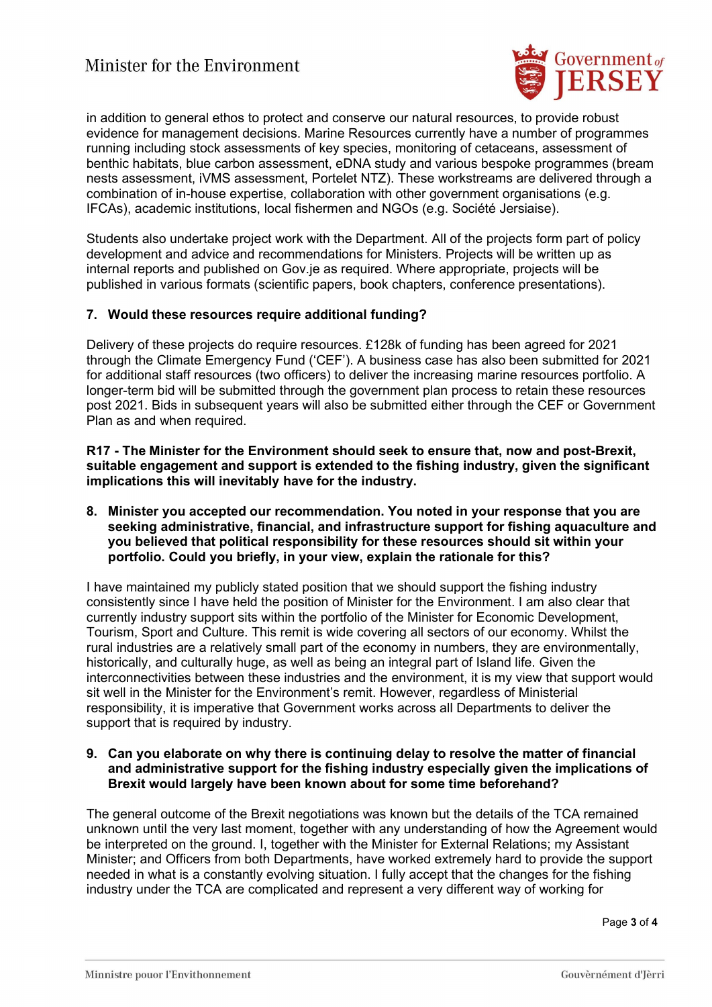# Minister for the Environment



in addition to general ethos to protect and conserve our natural resources, to provide robust evidence for management decisions. Marine Resources currently have a number of programmes running including stock assessments of key species, monitoring of cetaceans, assessment of benthic habitats, blue carbon assessment, eDNA study and various bespoke programmes (bream nests assessment, iVMS assessment, Portelet NTZ). These workstreams are delivered through a combination of in-house expertise, collaboration with other government organisations (e.g. IFCAs), academic institutions, local fishermen and NGOs (e.g. Société Jersiaise).

Students also undertake project work with the Department. All of the projects form part of policy development and advice and recommendations for Ministers. Projects will be written up as internal reports and published on Gov.je as required. Where appropriate, projects will be published in various formats (scientific papers, book chapters, conference presentations).

## 7. Would these resources require additional funding?

Delivery of these projects do require resources. £128k of funding has been agreed for 2021 through the Climate Emergency Fund ('CEF'). A business case has also been submitted for 2021 for additional staff resources (two officers) to deliver the increasing marine resources portfolio. A longer-term bid will be submitted through the government plan process to retain these resources post 2021. Bids in subsequent years will also be submitted either through the CEF or Government Plan as and when required.

R17 - The Minister for the Environment should seek to ensure that, now and post-Brexit, suitable engagement and support is extended to the fishing industry, given the significant implications this will inevitably have for the industry.

8. Minister you accepted our recommendation. You noted in your response that you are seeking administrative, financial, and infrastructure support for fishing aquaculture and you believed that political responsibility for these resources should sit within your portfolio. Could you briefly, in your view, explain the rationale for this?

I have maintained my publicly stated position that we should support the fishing industry consistently since I have held the position of Minister for the Environment. I am also clear that currently industry support sits within the portfolio of the Minister for Economic Development, Tourism, Sport and Culture. This remit is wide covering all sectors of our economy. Whilst the rural industries are a relatively small part of the economy in numbers, they are environmentally, historically, and culturally huge, as well as being an integral part of Island life. Given the interconnectivities between these industries and the environment, it is my view that support would sit well in the Minister for the Environment's remit. However, regardless of Ministerial responsibility, it is imperative that Government works across all Departments to deliver the support that is required by industry.

## 9. Can you elaborate on why there is continuing delay to resolve the matter of financial and administrative support for the fishing industry especially given the implications of Brexit would largely have been known about for some time beforehand?

The general outcome of the Brexit negotiations was known but the details of the TCA remained unknown until the very last moment, together with any understanding of how the Agreement would be interpreted on the ground. I, together with the Minister for External Relations; my Assistant Minister; and Officers from both Departments, have worked extremely hard to provide the support needed in what is a constantly evolving situation. I fully accept that the changes for the fishing industry under the TCA are complicated and represent a very different way of working for

Page 3 of 4